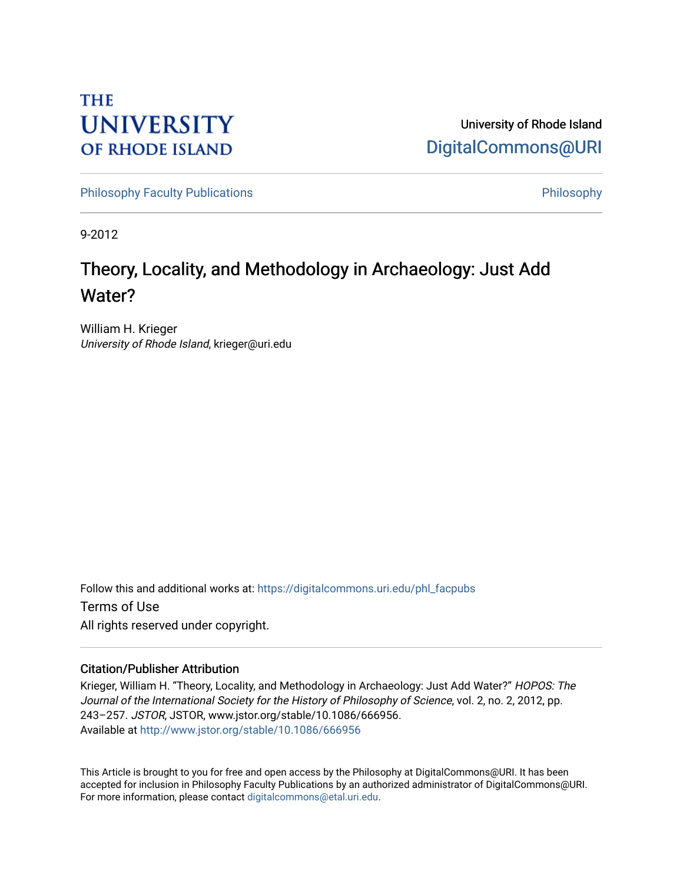# **THE UNIVERSITY OF RHODE ISLAND**

University of Rhode Island [DigitalCommons@URI](https://digitalcommons.uri.edu/) 

[Philosophy Faculty Publications](https://digitalcommons.uri.edu/phl_facpubs) **Philosophy** Philosophy

9-2012

## Theory, Locality, and Methodology in Archaeology: Just Add Water?

William H. Krieger University of Rhode Island, krieger@uri.edu

Follow this and additional works at: [https://digitalcommons.uri.edu/phl\\_facpubs](https://digitalcommons.uri.edu/phl_facpubs?utm_source=digitalcommons.uri.edu%2Fphl_facpubs%2F1&utm_medium=PDF&utm_campaign=PDFCoverPages)  Terms of Use All rights reserved under copyright.

#### Citation/Publisher Attribution

Krieger, William H. "Theory, Locality, and Methodology in Archaeology: Just Add Water?" HOPOS: The Journal of the International Society for the History of Philosophy of Science, vol. 2, no. 2, 2012, pp. 243–257. JSTOR, JSTOR, www.jstor.org/stable/10.1086/666956. Available at <http://www.jstor.org/stable/10.1086/666956>

This Article is brought to you for free and open access by the Philosophy at DigitalCommons@URI. It has been accepted for inclusion in Philosophy Faculty Publications by an authorized administrator of DigitalCommons@URI. For more information, please contact [digitalcommons@etal.uri.edu](mailto:digitalcommons@etal.uri.edu).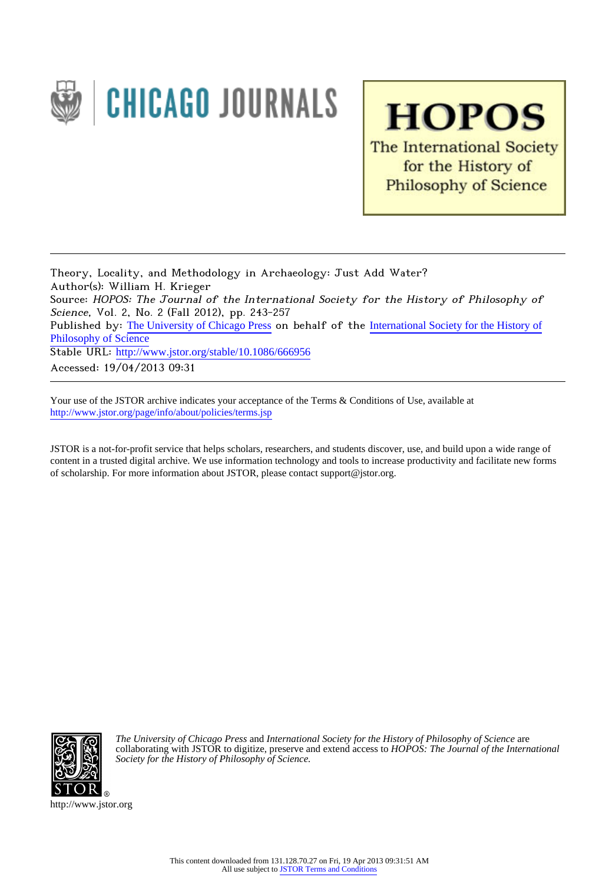

**HOPOS** 

The International Society for the History of **Philosophy of Science** 

Theory, Locality, and Methodology in Archaeology: Just Add Water? Author(s): William H. Krieger Source: HOPOS: The Journal of the International Society for the History of Philosophy of Science, Vol. 2, No. 2 (Fall 2012), pp. 243-257 Published by: [The University of Chicago Press](http://www.jstor.org/action/showPublisher?publisherCode=ucpress) on behalf of the [International Society for the History of](http://www.jstor.org/action/showPublisher?publisherCode=ishps) [Philosophy of Science](http://www.jstor.org/action/showPublisher?publisherCode=ishps) Stable URL: http://www.jstor.org/stable/10.1086/666956 Accessed: 19/04/2013 09:31

Your use of the JSTOR archive indicates your acceptance of the Terms & Conditions of Use, available at <http://www.jstor.org/page/info/about/policies/terms.jsp>

JSTOR is a not-for-profit service that helps scholars, researchers, and students discover, use, and build upon a wide range of content in a trusted digital archive. We use information technology and tools to increase productivity and facilitate new forms of scholarship. For more information about JSTOR, please contact support@jstor.org.



*The University of Chicago Press* and *International Society for the History of Philosophy of Science* are collaborating with JSTOR to digitize, preserve and extend access to *HOPOS: The Journal of the International Society for the History of Philosophy of Science.*

http://www.jstor.org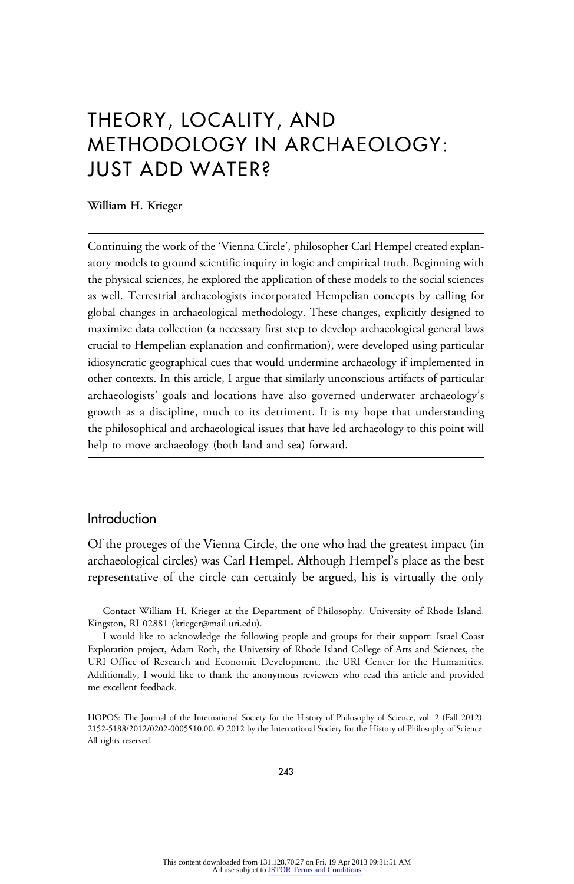## THEORY, LOCALITY, AND METHODOLOGY IN ARCHAEOLOGY: JUST ADD WATER?

### William H. Krieger<br>H. Krieger<br>H. Krieger

Continuing the work of the 'Vienna Circle', philosopher Carl Hempel created explanatory models to ground scientific inquiry in logic and empirical truth. Beginning with the physical sciences, he explored the application of these models to the social sciences as well. Terrestrial archaeologists incorporated Hempelian concepts by calling for global changes in archaeological methodology. These changes, explicitly designed to maximize data collection (a necessary first step to develop archaeological general laws crucial to Hempelian explanation and confirmation), were developed using particular idiosyncratic geographical cues that would undermine archaeology if implemented in other contexts. In this article, I argue that similarly unconscious artifacts of particular archaeologists' goals and locations have also governed underwater archaeology's growth as a discipline, much to its detriment. It is my hope that understanding the philosophical and archaeological issues that have led archaeology to this point will help to move archaeology (both land and sea) forward.

#### Introduction

Of the proteges of the Vienna Circle, the one who had the greatest impact (in archaeological circles) was Carl Hempel. Although Hempel's place as the best representative of the circle can certainly be argued, his is virtually the only

Contact William H. Krieger at the Department of Philosophy, University of Rhode Island, Kingston, RI 02881 (krieger@mail.uri.edu).

I would like to acknowledge the following people and groups for their support: Israel Coast Exploration project, Adam Roth, the University of Rhode Island College of Arts and Sciences, the URI Office of Research and Economic Development, the URI Center for the Humanities. Additionally, I would like to thank the anonymous reviewers who read this article and provided me excellent feedback.

HOPOS: The Journal of the International Society for the History of Philosophy of Science, vol. 2 (Fall 2012). 2152-5188/2012/0202-0005\$10.00. © 2012 by the International Society for the History of Philosophy of Science. All rights reserved.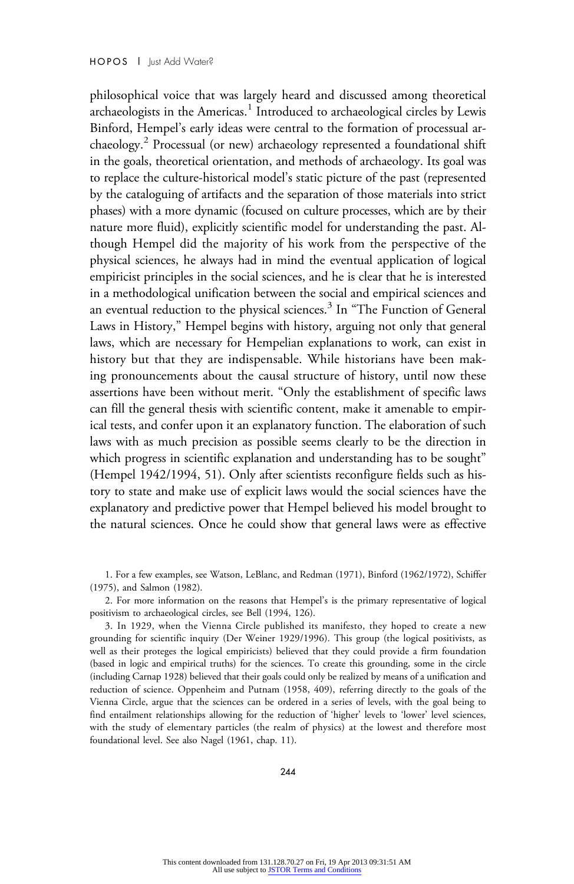philosophical voice that was largely heard and discussed among theoretical archaeologists in the Americas.<sup>1</sup> Introduced to archaeological circles by Lewis Binford, Hempel's early ideas were central to the formation of processual archaeology.<sup>2</sup> Processual (or new) archaeology represented a foundational shift in the goals, theoretical orientation, and methods of archaeology. Its goal was to replace the culture-historical model's static picture of the past (represented by the cataloguing of artifacts and the separation of those materials into strict phases) with a more dynamic (focused on culture processes, which are by their nature more fluid), explicitly scientific model for understanding the past. Although Hempel did the majority of his work from the perspective of the physical sciences, he always had in mind the eventual application of logical empiricist principles in the social sciences, and he is clear that he is interested in a methodological unification between the social and empirical sciences and an eventual reduction to the physical sciences. $3$  In "The Function of General Laws in History," Hempel begins with history, arguing not only that general laws, which are necessary for Hempelian explanations to work, can exist in history but that they are indispensable. While historians have been making pronouncements about the causal structure of history, until now these assertions have been without merit. "Only the establishment of specific laws can fill the general thesis with scientific content, make it amenable to empirical tests, and confer upon it an explanatory function. The elaboration of such laws with as much precision as possible seems clearly to be the direction in which progress in scientific explanation and understanding has to be sought" (Hempel 1942/1994, 51). Only after scientists reconfigure fields such as history to state and make use of explicit laws would the social sciences have the explanatory and predictive power that Hempel believed his model brought to the natural sciences. Once he could show that general laws were as effective

1. For a few examples, see Watson, LeBlanc, and Redman (1971), Binford (1962/1972), Schiffer (1975), and Salmon (1982).

2. For more information on the reasons that Hempel's is the primary representative of logical positivism to archaeological circles, see Bell (1994, 126).

3. In 1929, when the Vienna Circle published its manifesto, they hoped to create a new grounding for scientific inquiry (Der Weiner 1929/1996). This group (the logical positivists, as well as their proteges the logical empiricists) believed that they could provide a firm foundation (based in logic and empirical truths) for the sciences. To create this grounding, some in the circle (including Carnap 1928) believed that their goals could only be realized by means of a unification and reduction of science. Oppenheim and Putnam (1958, 409), referring directly to the goals of the Vienna Circle, argue that the sciences can be ordered in a series of levels, with the goal being to find entailment relationships allowing for the reduction of 'higher' levels to 'lower' level sciences, with the study of elementary particles (the realm of physics) at the lowest and therefore most foundational level. See also Nagel (1961, chap. 11).

244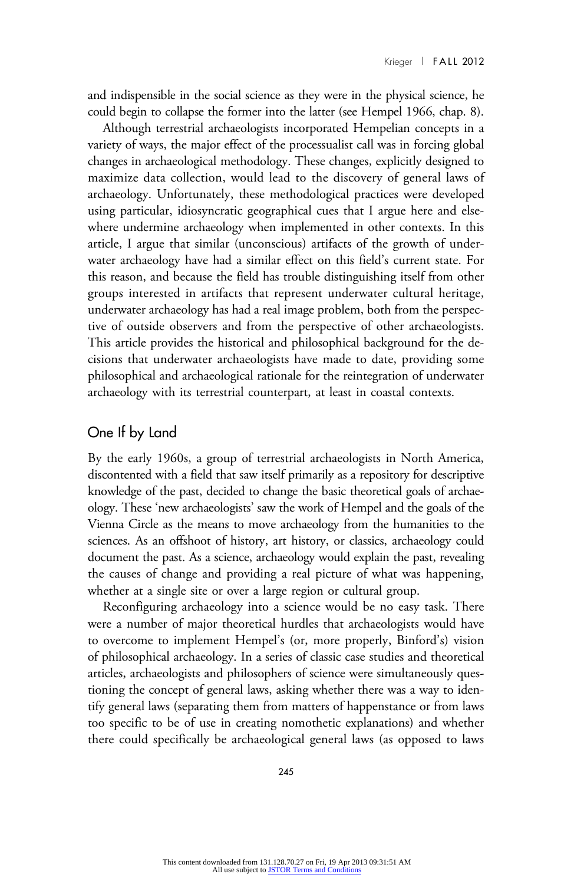and indispensible in the social science as they were in the physical science, he could begin to collapse the former into the latter (see Hempel 1966, chap. 8).

Although terrestrial archaeologists incorporated Hempelian concepts in a variety of ways, the major effect of the processualist call was in forcing global changes in archaeological methodology. These changes, explicitly designed to maximize data collection, would lead to the discovery of general laws of archaeology. Unfortunately, these methodological practices were developed using particular, idiosyncratic geographical cues that I argue here and elsewhere undermine archaeology when implemented in other contexts. In this article, I argue that similar (unconscious) artifacts of the growth of underwater archaeology have had a similar effect on this field's current state. For this reason, and because the field has trouble distinguishing itself from other groups interested in artifacts that represent underwater cultural heritage, underwater archaeology has had a real image problem, both from the perspective of outside observers and from the perspective of other archaeologists. This article provides the historical and philosophical background for the decisions that underwater archaeologists have made to date, providing some philosophical and archaeological rationale for the reintegration of underwater archaeology with its terrestrial counterpart, at least in coastal contexts.

#### One If by Land

By the early 1960s, a group of terrestrial archaeologists in North America, discontented with a field that saw itself primarily as a repository for descriptive knowledge of the past, decided to change the basic theoretical goals of archaeology. These 'new archaeologists' saw the work of Hempel and the goals of the Vienna Circle as the means to move archaeology from the humanities to the sciences. As an offshoot of history, art history, or classics, archaeology could document the past. As a science, archaeology would explain the past, revealing the causes of change and providing a real picture of what was happening, whether at a single site or over a large region or cultural group.

Reconfiguring archaeology into a science would be no easy task. There were a number of major theoretical hurdles that archaeologists would have to overcome to implement Hempel's (or, more properly, Binford's) vision of philosophical archaeology. In a series of classic case studies and theoretical articles, archaeologists and philosophers of science were simultaneously questioning the concept of general laws, asking whether there was a way to identify general laws (separating them from matters of happenstance or from laws too specific to be of use in creating nomothetic explanations) and whether there could specifically be archaeological general laws (as opposed to laws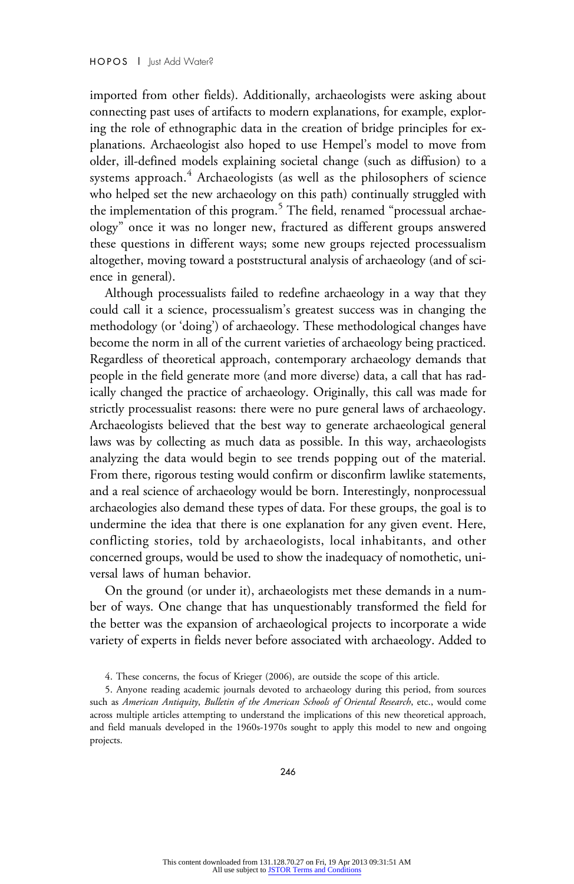imported from other fields). Additionally, archaeologists were asking about connecting past uses of artifacts to modern explanations, for example, exploring the role of ethnographic data in the creation of bridge principles for explanations. Archaeologist also hoped to use Hempel's model to move from older, ill-defined models explaining societal change (such as diffusion) to a systems approach.<sup>4</sup> Archaeologists (as well as the philosophers of science who helped set the new archaeology on this path) continually struggled with the implementation of this program.<sup>5</sup> The field, renamed "processual archaeology" once it was no longer new, fractured as different groups answered these questions in different ways; some new groups rejected processualism altogether, moving toward a poststructural analysis of archaeology (and of science in general).

Although processualists failed to redefine archaeology in a way that they could call it a science, processualism's greatest success was in changing the methodology (or 'doing') of archaeology. These methodological changes have become the norm in all of the current varieties of archaeology being practiced. Regardless of theoretical approach, contemporary archaeology demands that people in the field generate more (and more diverse) data, a call that has radically changed the practice of archaeology. Originally, this call was made for strictly processualist reasons: there were no pure general laws of archaeology. Archaeologists believed that the best way to generate archaeological general laws was by collecting as much data as possible. In this way, archaeologists analyzing the data would begin to see trends popping out of the material. From there, rigorous testing would confirm or disconfirm lawlike statements, and a real science of archaeology would be born. Interestingly, nonprocessual archaeologies also demand these types of data. For these groups, the goal is to undermine the idea that there is one explanation for any given event. Here, conflicting stories, told by archaeologists, local inhabitants, and other concerned groups, would be used to show the inadequacy of nomothetic, universal laws of human behavior.

On the ground (or under it), archaeologists met these demands in a number of ways. One change that has unquestionably transformed the field for the better was the expansion of archaeological projects to incorporate a wide variety of experts in fields never before associated with archaeology. Added to

<sup>4.</sup> These concerns, the focus of Krieger (2006), are outside the scope of this article.

<sup>5.</sup> Anyone reading academic journals devoted to archaeology during this period, from sources such as American Antiquity, Bulletin of the American Schools of Oriental Research, etc., would come across multiple articles attempting to understand the implications of this new theoretical approach, and field manuals developed in the 1960s-1970s sought to apply this model to new and ongoing projects.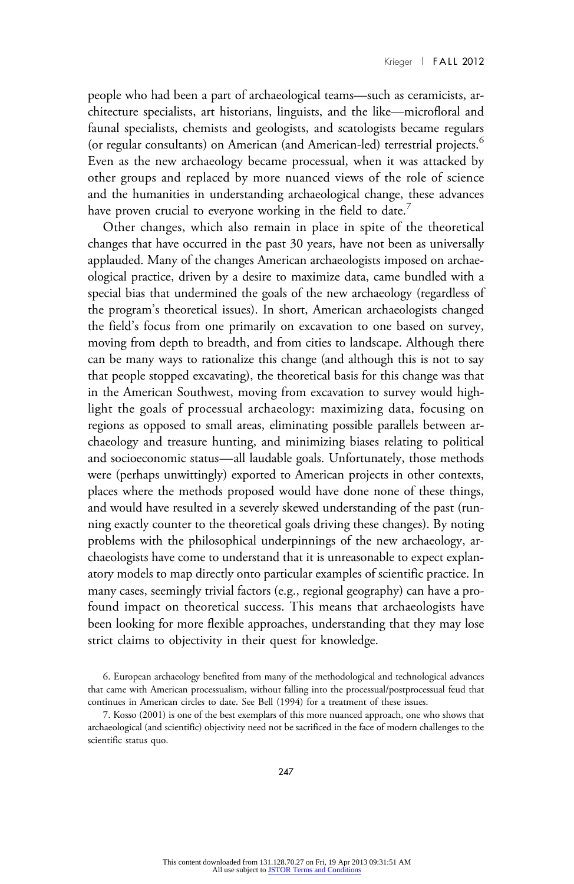people who had been a part of archaeological teams—such as ceramicists, architecture specialists, art historians, linguists, and the like—microfloral and faunal specialists, chemists and geologists, and scatologists became regulars (or regular consultants) on American (and American-led) terrestrial projects.<sup>6</sup> Even as the new archaeology became processual, when it was attacked by other groups and replaced by more nuanced views of the role of science and the humanities in understanding archaeological change, these advances have proven crucial to everyone working in the field to date.<sup>7</sup>

Other changes, which also remain in place in spite of the theoretical changes that have occurred in the past 30 years, have not been as universally applauded. Many of the changes American archaeologists imposed on archaeological practice, driven by a desire to maximize data, came bundled with a special bias that undermined the goals of the new archaeology (regardless of the program's theoretical issues). In short, American archaeologists changed the field's focus from one primarily on excavation to one based on survey, moving from depth to breadth, and from cities to landscape. Although there can be many ways to rationalize this change (and although this is not to say that people stopped excavating), the theoretical basis for this change was that in the American Southwest, moving from excavation to survey would highlight the goals of processual archaeology: maximizing data, focusing on regions as opposed to small areas, eliminating possible parallels between archaeology and treasure hunting, and minimizing biases relating to political and socioeconomic status—all laudable goals. Unfortunately, those methods were (perhaps unwittingly) exported to American projects in other contexts, places where the methods proposed would have done none of these things, and would have resulted in a severely skewed understanding of the past (running exactly counter to the theoretical goals driving these changes). By noting problems with the philosophical underpinnings of the new archaeology, archaeologists have come to understand that it is unreasonable to expect explanatory models to map directly onto particular examples of scientific practice. In many cases, seemingly trivial factors (e.g., regional geography) can have a profound impact on theoretical success. This means that archaeologists have been looking for more flexible approaches, understanding that they may lose strict claims to objectivity in their quest for knowledge.

<sup>6.</sup> European archaeology benefited from many of the methodological and technological advances that came with American processualism, without falling into the processual/postprocessual feud that continues in American circles to date. See Bell (1994) for a treatment of these issues.

<sup>7.</sup> Kosso (2001) is one of the best exemplars of this more nuanced approach, one who shows that archaeological (and scientific) objectivity need not be sacrificed in the face of modern challenges to the scientific status quo.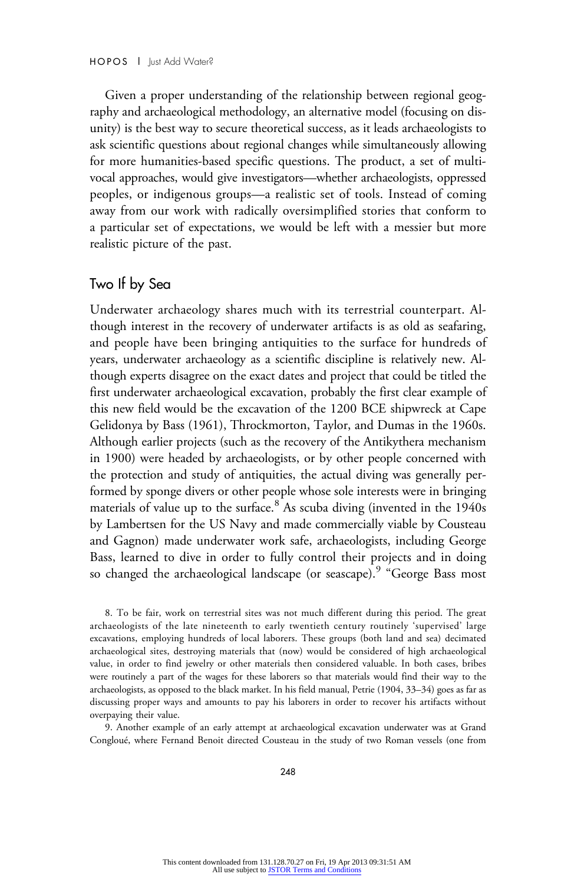Given a proper understanding of the relationship between regional geography and archaeological methodology, an alternative model (focusing on disunity) is the best way to secure theoretical success, as it leads archaeologists to ask scientific questions about regional changes while simultaneously allowing for more humanities-based specific questions. The product, a set of multivocal approaches, would give investigators—whether archaeologists, oppressed peoples, or indigenous groups—a realistic set of tools. Instead of coming away from our work with radically oversimplified stories that conform to a particular set of expectations, we would be left with a messier but more realistic picture of the past.

#### Two If by Sea

Underwater archaeology shares much with its terrestrial counterpart. Although interest in the recovery of underwater artifacts is as old as seafaring, and people have been bringing antiquities to the surface for hundreds of years, underwater archaeology as a scientific discipline is relatively new. Although experts disagree on the exact dates and project that could be titled the first underwater archaeological excavation, probably the first clear example of this new field would be the excavation of the 1200 BCE shipwreck at Cape Gelidonya by Bass (1961), Throckmorton, Taylor, and Dumas in the 1960s. Although earlier projects (such as the recovery of the Antikythera mechanism in 1900) were headed by archaeologists, or by other people concerned with the protection and study of antiquities, the actual diving was generally performed by sponge divers or other people whose sole interests were in bringing materials of value up to the surface. $8$  As scuba diving (invented in the 1940s by Lambertsen for the US Navy and made commercially viable by Cousteau and Gagnon) made underwater work safe, archaeologists, including George Bass, learned to dive in order to fully control their projects and in doing so changed the archaeological landscape (or seascape).<sup>9</sup> "George Bass most

8. To be fair, work on terrestrial sites was not much different during this period. The great archaeologists of the late nineteenth to early twentieth century routinely 'supervised' large excavations, employing hundreds of local laborers. These groups (both land and sea) decimated archaeological sites, destroying materials that (now) would be considered of high archaeological value, in order to find jewelry or other materials then considered valuable. In both cases, bribes were routinely a part of the wages for these laborers so that materials would find their way to the archaeologists, as opposed to the black market. In his field manual, Petrie (1904, 33–34) goes as far as discussing proper ways and amounts to pay his laborers in order to recover his artifacts without overpaying their value.

9. Another example of an early attempt at archaeological excavation underwater was at Grand Congloué, where Fernand Benoit directed Cousteau in the study of two Roman vessels (one from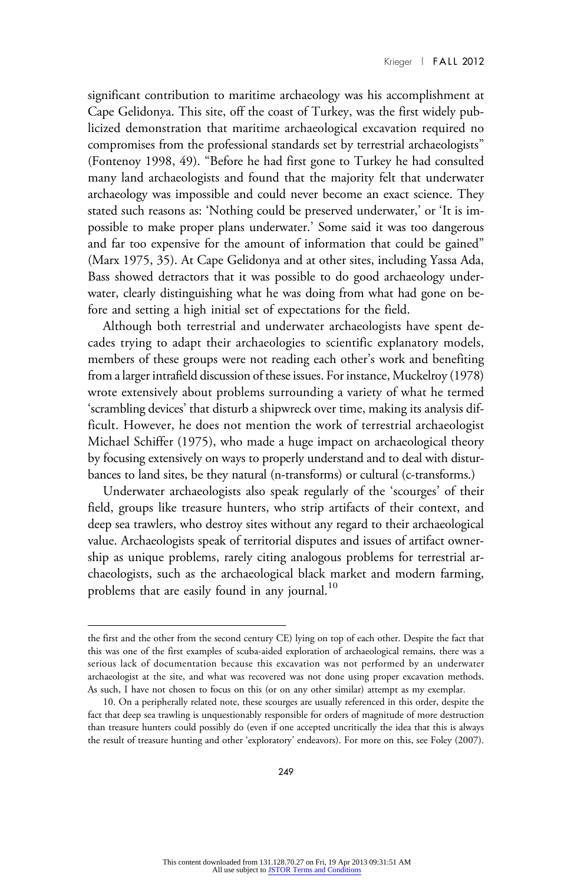significant contribution to maritime archaeology was his accomplishment at Cape Gelidonya. This site, off the coast of Turkey, was the first widely publicized demonstration that maritime archaeological excavation required no compromises from the professional standards set by terrestrial archaeologists" (Fontenoy 1998, 49). "Before he had first gone to Turkey he had consulted many land archaeologists and found that the majority felt that underwater archaeology was impossible and could never become an exact science. They stated such reasons as: 'Nothing could be preserved underwater,' or 'It is impossible to make proper plans underwater.' Some said it was too dangerous and far too expensive for the amount of information that could be gained" (Marx 1975, 35). At Cape Gelidonya and at other sites, including Yassa Ada, Bass showed detractors that it was possible to do good archaeology underwater, clearly distinguishing what he was doing from what had gone on before and setting a high initial set of expectations for the field.

Although both terrestrial and underwater archaeologists have spent decades trying to adapt their archaeologies to scientific explanatory models, members of these groups were not reading each other's work and benefiting from a larger intrafield discussion of these issues. For instance, Muckelroy (1978) wrote extensively about problems surrounding a variety of what he termed 'scrambling devices' that disturb a shipwreck over time, making its analysis difficult. However, he does not mention the work of terrestrial archaeologist Michael Schiffer (1975), who made a huge impact on archaeological theory by focusing extensively on ways to properly understand and to deal with disturbances to land sites, be they natural (n-transforms) or cultural (c-transforms.)

Underwater archaeologists also speak regularly of the 'scourges' of their field, groups like treasure hunters, who strip artifacts of their context, and deep sea trawlers, who destroy sites without any regard to their archaeological value. Archaeologists speak of territorial disputes and issues of artifact ownership as unique problems, rarely citing analogous problems for terrestrial archaeologists, such as the archaeological black market and modern farming, problems that are easily found in any journal.<sup>10</sup>

the first and the other from the second century CE) lying on top of each other. Despite the fact that this was one of the first examples of scuba-aided exploration of archaeological remains, there was a serious lack of documentation because this excavation was not performed by an underwater archaeologist at the site, and what was recovered was not done using proper excavation methods. As such, I have not chosen to focus on this (or on any other similar) attempt as my exemplar.

<sup>10.</sup> On a peripherally related note, these scourges are usually referenced in this order, despite the fact that deep sea trawling is unquestionably responsible for orders of magnitude of more destruction than treasure hunters could possibly do (even if one accepted uncritically the idea that this is always the result of treasure hunting and other 'exploratory' endeavors). For more on this, see Foley (2007).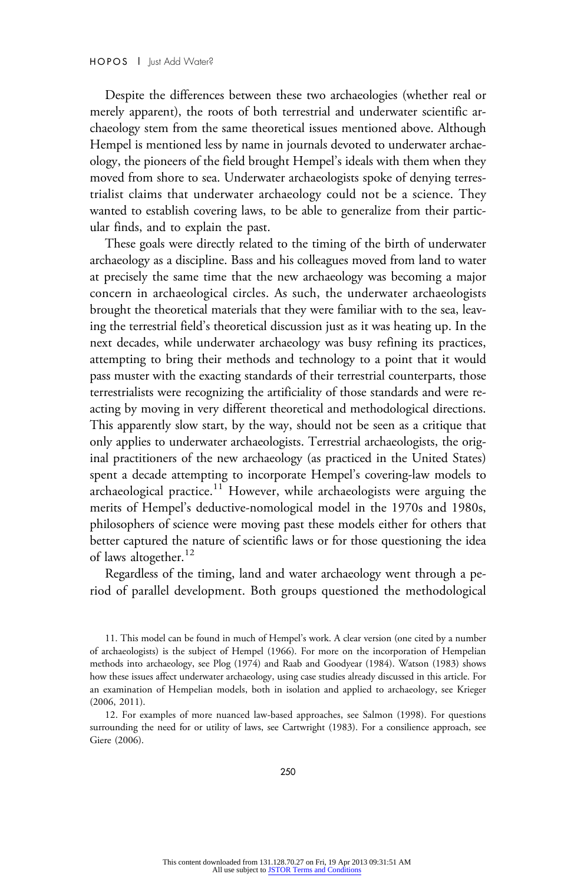Despite the differences between these two archaeologies (whether real or merely apparent), the roots of both terrestrial and underwater scientific archaeology stem from the same theoretical issues mentioned above. Although Hempel is mentioned less by name in journals devoted to underwater archaeology, the pioneers of the field brought Hempel's ideals with them when they moved from shore to sea. Underwater archaeologists spoke of denying terrestrialist claims that underwater archaeology could not be a science. They wanted to establish covering laws, to be able to generalize from their particular finds, and to explain the past.

These goals were directly related to the timing of the birth of underwater archaeology as a discipline. Bass and his colleagues moved from land to water at precisely the same time that the new archaeology was becoming a major concern in archaeological circles. As such, the underwater archaeologists brought the theoretical materials that they were familiar with to the sea, leaving the terrestrial field's theoretical discussion just as it was heating up. In the next decades, while underwater archaeology was busy refining its practices, attempting to bring their methods and technology to a point that it would pass muster with the exacting standards of their terrestrial counterparts, those terrestrialists were recognizing the artificiality of those standards and were reacting by moving in very different theoretical and methodological directions. This apparently slow start, by the way, should not be seen as a critique that only applies to underwater archaeologists. Terrestrial archaeologists, the original practitioners of the new archaeology (as practiced in the United States) spent a decade attempting to incorporate Hempel's covering-law models to archaeological practice. $11$  However, while archaeologists were arguing the merits of Hempel's deductive-nomological model in the 1970s and 1980s, philosophers of science were moving past these models either for others that better captured the nature of scientific laws or for those questioning the idea of laws altogether.<sup>12</sup>

Regardless of the timing, land and water archaeology went through a period of parallel development. Both groups questioned the methodological

11. This model can be found in much of Hempel's work. A clear version (one cited by a number of archaeologists) is the subject of Hempel (1966). For more on the incorporation of Hempelian methods into archaeology, see Plog (1974) and Raab and Goodyear (1984). Watson (1983) shows how these issues affect underwater archaeology, using case studies already discussed in this article. For an examination of Hempelian models, both in isolation and applied to archaeology, see Krieger (2006, 2011).

12. For examples of more nuanced law-based approaches, see Salmon (1998). For questions surrounding the need for or utility of laws, see Cartwright (1983). For a consilience approach, see Giere (2006).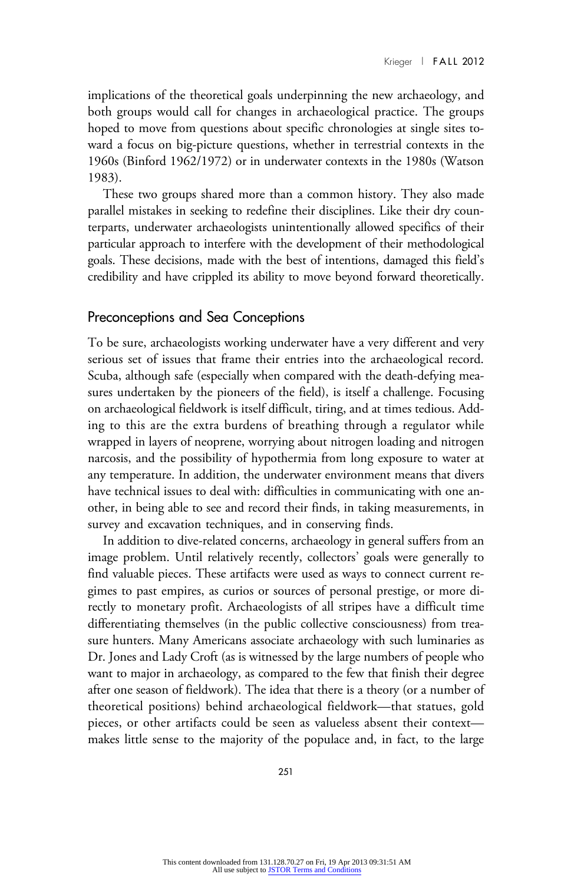implications of the theoretical goals underpinning the new archaeology, and both groups would call for changes in archaeological practice. The groups hoped to move from questions about specific chronologies at single sites toward a focus on big-picture questions, whether in terrestrial contexts in the 1960s (Binford 1962/1972) or in underwater contexts in the 1980s (Watson 1983).

These two groups shared more than a common history. They also made parallel mistakes in seeking to redefine their disciplines. Like their dry counterparts, underwater archaeologists unintentionally allowed specifics of their particular approach to interfere with the development of their methodological goals. These decisions, made with the best of intentions, damaged this field's credibility and have crippled its ability to move beyond forward theoretically.

### Preconceptions and Sea Conceptions

To be sure, archaeologists working underwater have a very different and very serious set of issues that frame their entries into the archaeological record. Scuba, although safe (especially when compared with the death-defying measures undertaken by the pioneers of the field), is itself a challenge. Focusing on archaeological fieldwork is itself difficult, tiring, and at times tedious. Adding to this are the extra burdens of breathing through a regulator while wrapped in layers of neoprene, worrying about nitrogen loading and nitrogen narcosis, and the possibility of hypothermia from long exposure to water at any temperature. In addition, the underwater environment means that divers have technical issues to deal with: difficulties in communicating with one another, in being able to see and record their finds, in taking measurements, in survey and excavation techniques, and in conserving finds.

In addition to dive-related concerns, archaeology in general suffers from an image problem. Until relatively recently, collectors' goals were generally to find valuable pieces. These artifacts were used as ways to connect current regimes to past empires, as curios or sources of personal prestige, or more directly to monetary profit. Archaeologists of all stripes have a difficult time differentiating themselves (in the public collective consciousness) from treasure hunters. Many Americans associate archaeology with such luminaries as Dr. Jones and Lady Croft (as is witnessed by the large numbers of people who want to major in archaeology, as compared to the few that finish their degree after one season of fieldwork). The idea that there is a theory (or a number of theoretical positions) behind archaeological fieldwork—that statues, gold pieces, or other artifacts could be seen as valueless absent their context makes little sense to the majority of the populace and, in fact, to the large

251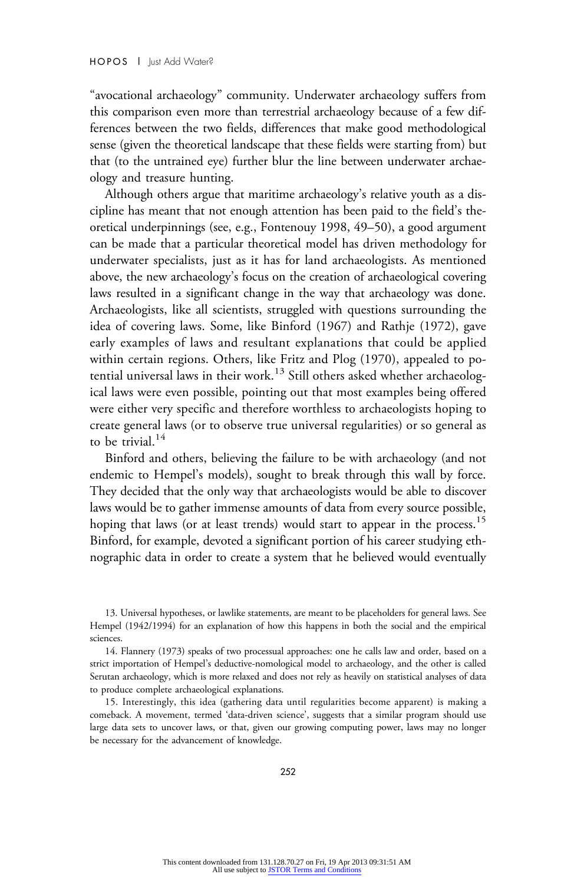"avocational archaeology" community. Underwater archaeology suffers from this comparison even more than terrestrial archaeology because of a few differences between the two fields, differences that make good methodological sense (given the theoretical landscape that these fields were starting from) but that (to the untrained eye) further blur the line between underwater archaeology and treasure hunting.

Although others argue that maritime archaeology's relative youth as a discipline has meant that not enough attention has been paid to the field's theoretical underpinnings (see, e.g., Fontenouy 1998, 49–50), a good argument can be made that a particular theoretical model has driven methodology for underwater specialists, just as it has for land archaeologists. As mentioned above, the new archaeology's focus on the creation of archaeological covering laws resulted in a significant change in the way that archaeology was done. Archaeologists, like all scientists, struggled with questions surrounding the idea of covering laws. Some, like Binford (1967) and Rathje (1972), gave early examples of laws and resultant explanations that could be applied within certain regions. Others, like Fritz and Plog (1970), appealed to potential universal laws in their work.<sup>13</sup> Still others asked whether archaeological laws were even possible, pointing out that most examples being offered were either very specific and therefore worthless to archaeologists hoping to create general laws (or to observe true universal regularities) or so general as to be trivial. $^{14}$ 

Binford and others, believing the failure to be with archaeology (and not endemic to Hempel's models), sought to break through this wall by force. They decided that the only way that archaeologists would be able to discover laws would be to gather immense amounts of data from every source possible, hoping that laws (or at least trends) would start to appear in the process.<sup>15</sup> Binford, for example, devoted a significant portion of his career studying ethnographic data in order to create a system that he believed would eventually

15. Interestingly, this idea (gathering data until regularities become apparent) is making a comeback. A movement, termed 'data-driven science', suggests that a similar program should use large data sets to uncover laws, or that, given our growing computing power, laws may no longer be necessary for the advancement of knowledge.

<sup>13.</sup> Universal hypotheses, or lawlike statements, are meant to be placeholders for general laws. See Hempel (1942/1994) for an explanation of how this happens in both the social and the empirical sciences.

<sup>14.</sup> Flannery (1973) speaks of two processual approaches: one he calls law and order, based on a strict importation of Hempel's deductive-nomological model to archaeology, and the other is called Serutan archaeology, which is more relaxed and does not rely as heavily on statistical analyses of data to produce complete archaeological explanations.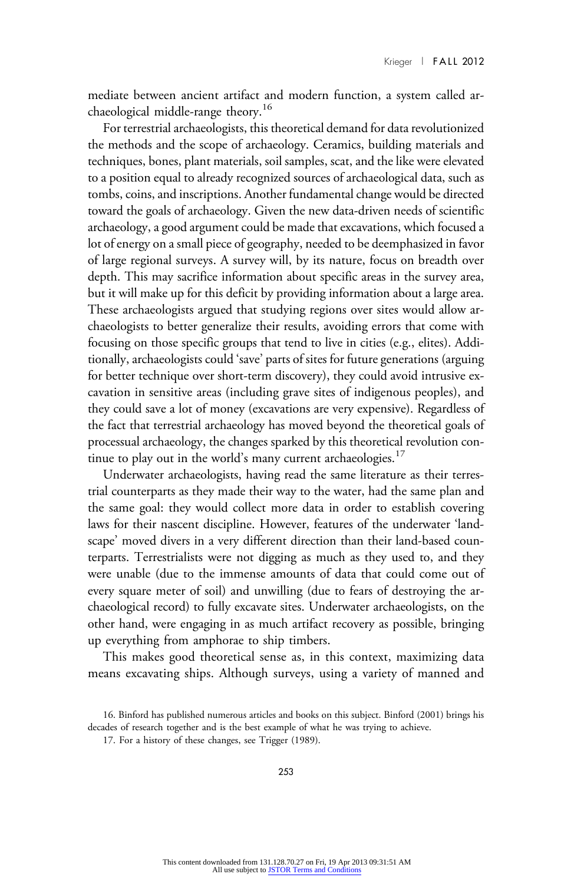mediate between ancient artifact and modern function, a system called archaeological middle-range theory.<sup>16</sup>

For terrestrial archaeologists, this theoretical demand for data revolutionized the methods and the scope of archaeology. Ceramics, building materials and techniques, bones, plant materials, soil samples, scat, and the like were elevated to a position equal to already recognized sources of archaeological data, such as tombs, coins, and inscriptions. Another fundamental change would be directed toward the goals of archaeology. Given the new data-driven needs of scientific archaeology, a good argument could be made that excavations, which focused a lot of energy on a small piece of geography, needed to be deemphasized in favor of large regional surveys. A survey will, by its nature, focus on breadth over depth. This may sacrifice information about specific areas in the survey area, but it will make up for this deficit by providing information about a large area. These archaeologists argued that studying regions over sites would allow archaeologists to better generalize their results, avoiding errors that come with focusing on those specific groups that tend to live in cities (e.g., elites). Additionally, archaeologists could 'save' parts of sites for future generations (arguing for better technique over short-term discovery), they could avoid intrusive excavation in sensitive areas (including grave sites of indigenous peoples), and they could save a lot of money (excavations are very expensive). Regardless of the fact that terrestrial archaeology has moved beyond the theoretical goals of processual archaeology, the changes sparked by this theoretical revolution continue to play out in the world's many current archaeologies.<sup>17</sup>

Underwater archaeologists, having read the same literature as their terrestrial counterparts as they made their way to the water, had the same plan and the same goal: they would collect more data in order to establish covering laws for their nascent discipline. However, features of the underwater 'landscape' moved divers in a very different direction than their land-based counterparts. Terrestrialists were not digging as much as they used to, and they were unable (due to the immense amounts of data that could come out of every square meter of soil) and unwilling (due to fears of destroying the archaeological record) to fully excavate sites. Underwater archaeologists, on the other hand, were engaging in as much artifact recovery as possible, bringing up everything from amphorae to ship timbers.

This makes good theoretical sense as, in this context, maximizing data means excavating ships. Although surveys, using a variety of manned and

<sup>16.</sup> Binford has published numerous articles and books on this subject. Binford (2001) brings his decades of research together and is the best example of what he was trying to achieve.

<sup>17.</sup> For a history of these changes, see Trigger (1989).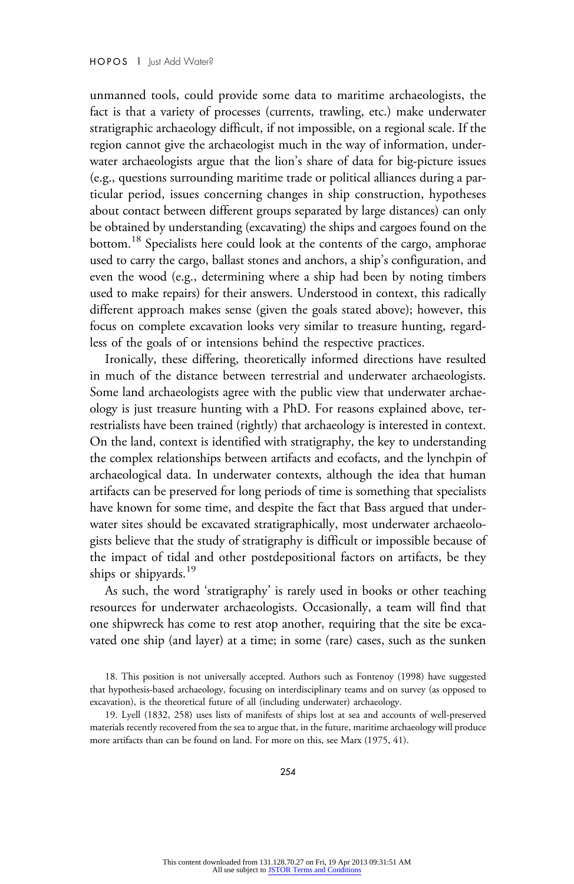unmanned tools, could provide some data to maritime archaeologists, the fact is that a variety of processes (currents, trawling, etc.) make underwater stratigraphic archaeology difficult, if not impossible, on a regional scale. If the region cannot give the archaeologist much in the way of information, underwater archaeologists argue that the lion's share of data for big-picture issues (e.g., questions surrounding maritime trade or political alliances during a particular period, issues concerning changes in ship construction, hypotheses about contact between different groups separated by large distances) can only be obtained by understanding (excavating) the ships and cargoes found on the bottom.<sup>18</sup> Specialists here could look at the contents of the cargo, amphorae used to carry the cargo, ballast stones and anchors, a ship's configuration, and even the wood (e.g., determining where a ship had been by noting timbers used to make repairs) for their answers. Understood in context, this radically different approach makes sense (given the goals stated above); however, this focus on complete excavation looks very similar to treasure hunting, regardless of the goals of or intensions behind the respective practices.

Ironically, these differing, theoretically informed directions have resulted in much of the distance between terrestrial and underwater archaeologists. Some land archaeologists agree with the public view that underwater archaeology is just treasure hunting with a PhD. For reasons explained above, terrestrialists have been trained (rightly) that archaeology is interested in context. On the land, context is identified with stratigraphy, the key to understanding the complex relationships between artifacts and ecofacts, and the lynchpin of archaeological data. In underwater contexts, although the idea that human artifacts can be preserved for long periods of time is something that specialists have known for some time, and despite the fact that Bass argued that underwater sites should be excavated stratigraphically, most underwater archaeologists believe that the study of stratigraphy is difficult or impossible because of the impact of tidal and other postdepositional factors on artifacts, be they ships or shipyards.<sup>19</sup>

As such, the word 'stratigraphy' is rarely used in books or other teaching resources for underwater archaeologists. Occasionally, a team will find that one shipwreck has come to rest atop another, requiring that the site be excavated one ship (and layer) at a time; in some (rare) cases, such as the sunken

<sup>18.</sup> This position is not universally accepted. Authors such as Fontenoy (1998) have suggested that hypothesis-based archaeology, focusing on interdisciplinary teams and on survey (as opposed to excavation), is the theoretical future of all (including underwater) archaeology.

<sup>19.</sup> Lyell (1832, 258) uses lists of manifests of ships lost at sea and accounts of well-preserved materials recently recovered from the sea to argue that, in the future, maritime archaeology will produce more artifacts than can be found on land. For more on this, see Marx (1975, 41).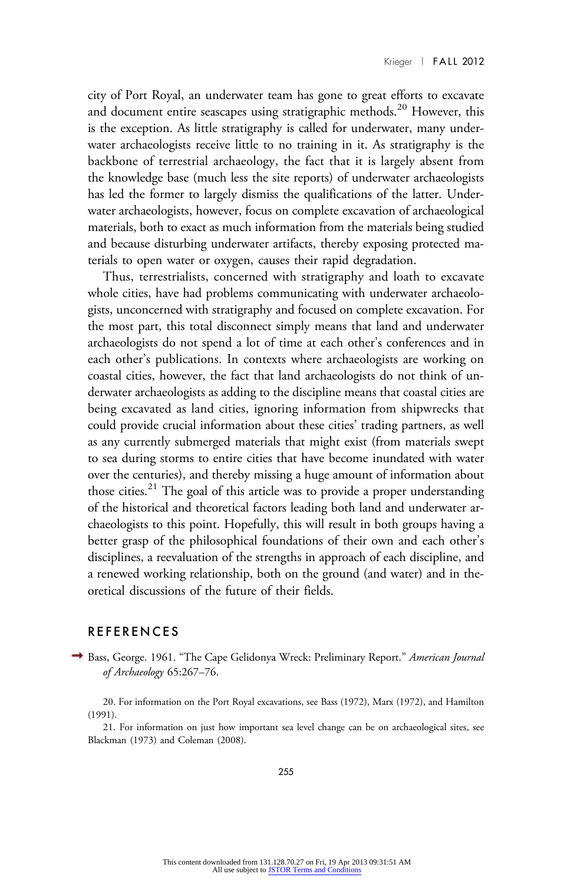city of Port Royal, an underwater team has gone to great efforts to excavate and document entire seascapes using stratigraphic methods.<sup>20</sup> However, this is the exception. As little stratigraphy is called for underwater, many underwater archaeologists receive little to no training in it. As stratigraphy is the backbone of terrestrial archaeology, the fact that it is largely absent from the knowledge base (much less the site reports) of underwater archaeologists has led the former to largely dismiss the qualifications of the latter. Underwater archaeologists, however, focus on complete excavation of archaeological materials, both to exact as much information from the materials being studied and because disturbing underwater artifacts, thereby exposing protected materials to open water or oxygen, causes their rapid degradation.

Thus, terrestrialists, concerned with stratigraphy and loath to excavate whole cities, have had problems communicating with underwater archaeologists, unconcerned with stratigraphy and focused on complete excavation. For the most part, this total disconnect simply means that land and underwater archaeologists do not spend a lot of time at each other's conferences and in each other's publications. In contexts where archaeologists are working on coastal cities, however, the fact that land archaeologists do not think of underwater archaeologists as adding to the discipline means that coastal cities are being excavated as land cities, ignoring information from shipwrecks that could provide crucial information about these cities' trading partners, as well as any currently submerged materials that might exist (from materials swept to sea during storms to entire cities that have become inundated with water over the centuries), and thereby missing a huge amount of information about those cities.<sup>21</sup> The goal of this article was to provide a proper understanding of the historical and theoretical factors leading both land and underwater archaeologists to this point. Hopefully, this will result in both groups having a better grasp of the philosophical foundations of their own and each other's disciplines, a reevaluation of the strengths in approach of each discipline, and a renewed working relationship, both on the ground (and water) and in theoretical discussions of the future of their fields.

#### **REFERENCES**

Bass, George. 1961. "The Cape Gelidonya Wreck: Preliminary Report." American Journal of Archaeology 65:267–76.

20. For information on the Port Royal excavations, see Bass (1972), Marx (1972), and Hamilton (1991).

21. For information on just how important sea level change can be on archaeological sites, see Blackman (1973) and Coleman (2008).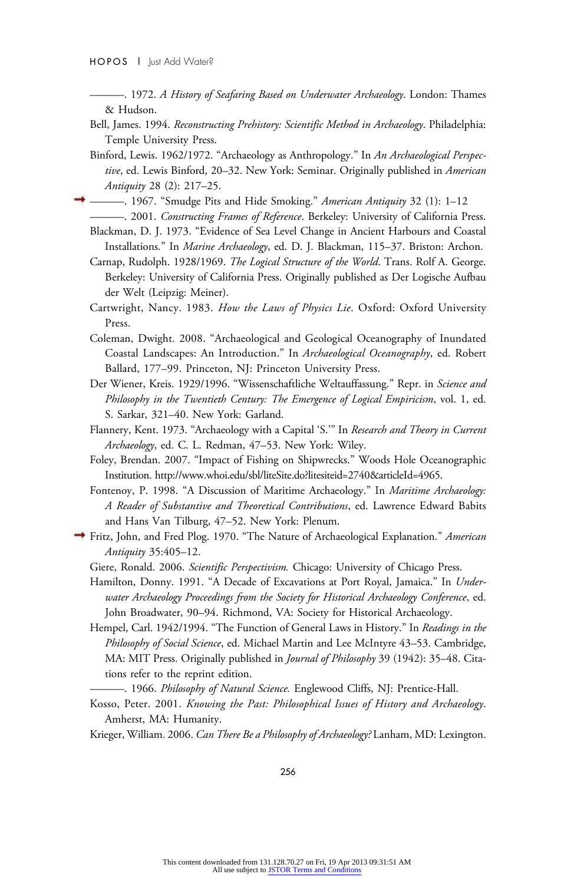- ———. 1972. A History of Seafaring Based on Underwater Archaeology. London: Thames & Hudson.
- Bell, James. 1994. Reconstructing Prehistory: Scientific Method in Archaeology. Philadelphia: Temple University Press.
- Binford, Lewis. 1962/1972. "Archaeology as Anthropology." In An Archaeological Perspective, ed. Lewis Binford, 20-32. New York: Seminar. Originally published in American Antiquity 28 (2): 217–25.
- $\rightarrow$  \_\_\_\_\_\_\_. 1967. "Smudge Pits and Hide Smoking." American Antiquity 32 (1): 1–12
	- ———. 2001. Constructing Frames of Reference. Berkeley: University of California Press. Blackman, D. J. 1973. "Evidence of Sea Level Change in Ancient Harbours and Coastal
	- Installations." In Marine Archaeology, ed. D. J. Blackman, 115–37. Briston: Archon. Carnap, Rudolph. 1928/1969. The Logical Structure of the World. Trans. Rolf A. George. Berkeley: University of California Press. Originally published as Der Logische Aufbau der Welt (Leipzig: Meiner).
	- Cartwright, Nancy. 1983. How the Laws of Physics Lie. Oxford: Oxford University Press.
	- Coleman, Dwight. 2008. "Archaeological and Geological Oceanography of Inundated Coastal Landscapes: An Introduction." In Archaeological Oceanography, ed. Robert Ballard, 177–99. Princeton, NJ: Princeton University Press.
	- Der Wiener, Kreis. 1929/1996. "Wissenschaftliche Weltauffassung." Repr. in Science and Philosophy in the Twentieth Century: The Emergence of Logical Empiricism, vol. 1, ed. S. Sarkar, 321–40. New York: Garland.
	- Flannery, Kent. 1973. "Archaeology with a Capital 'S."" In Research and Theory in Current Archaeology, ed. C. L. Redman, 47-53. New York: Wiley.
	- Foley, Brendan. 2007. "Impact of Fishing on Shipwrecks." Woods Hole Oceanographic Institution. http://www.whoi.edu/sbl/liteSite.do?litesiteid=2740&articleId=4965.
	- Fontenoy, P. 1998. "A Discussion of Maritime Archaeology." In Maritime Archaeology: A Reader of Substantive and Theoretical Contributions, ed. Lawrence Edward Babits and Hans Van Tilburg, 47–52. New York: Plenum.
- Fritz, John, and Fred Plog. 1970. "The Nature of Archaeological Explanation." American Antiquity 35:405–12.
	- Giere, Ronald. 2006. Scientific Perspectivism. Chicago: University of Chicago Press.
	- Hamilton, Donny. 1991. "A Decade of Excavations at Port Royal, Jamaica." In Underwater Archaeology Proceedings from the Society for Historical Archaeology Conference, ed. John Broadwater, 90–94. Richmond, VA: Society for Historical Archaeology.
	- Hempel, Carl. 1942/1994. "The Function of General Laws in History." In Readings in the Philosophy of Social Science, ed. Michael Martin and Lee McIntyre 43-53. Cambridge, MA: MIT Press. Originally published in *Journal of Philosophy* 39 (1942): 35-48. Citations refer to the reprint edition.
		- -. 1966. Philosophy of Natural Science. Englewood Cliffs, NJ: Prentice-Hall.
	- Kosso, Peter. 2001. Knowing the Past: Philosophical Issues of History and Archaeology. Amherst, MA: Humanity.
	- Krieger, William. 2006. Can There Be a Philosophy of Archaeology? Lanham, MD: Lexington.